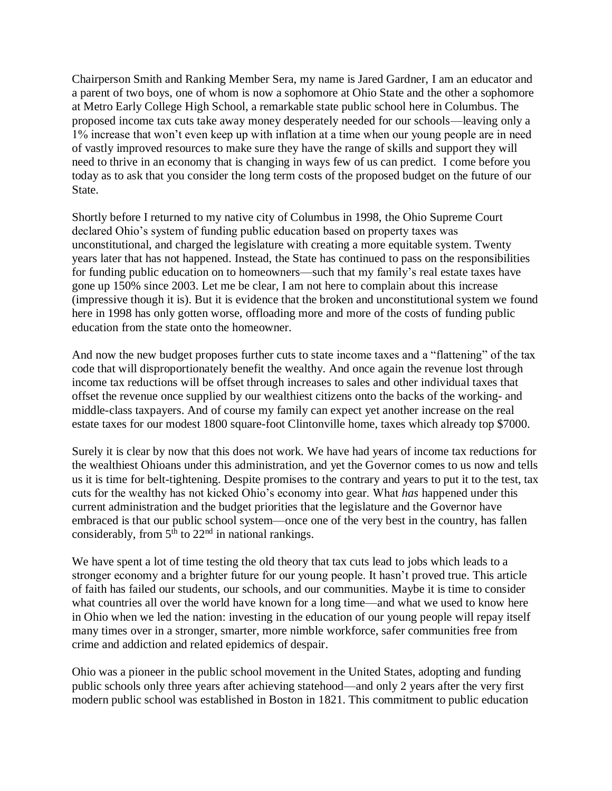Chairperson Smith and Ranking Member Sera, my name is Jared Gardner, I am an educator and a parent of two boys, one of whom is now a sophomore at Ohio State and the other a sophomore at Metro Early College High School, a remarkable state public school here in Columbus. The proposed income tax cuts take away money desperately needed for our schools—leaving only a 1% increase that won't even keep up with inflation at a time when our young people are in need of vastly improved resources to make sure they have the range of skills and support they will need to thrive in an economy that is changing in ways few of us can predict. I come before you today as to ask that you consider the long term costs of the proposed budget on the future of our State.

Shortly before I returned to my native city of Columbus in 1998, the Ohio Supreme Court declared Ohio's system of funding public education based on property taxes was unconstitutional, and charged the legislature with creating a more equitable system. Twenty years later that has not happened. Instead, the State has continued to pass on the responsibilities for funding public education on to homeowners—such that my family's real estate taxes have gone up 150% since 2003. Let me be clear, I am not here to complain about this increase (impressive though it is). But it is evidence that the broken and unconstitutional system we found here in 1998 has only gotten worse, offloading more and more of the costs of funding public education from the state onto the homeowner.

And now the new budget proposes further cuts to state income taxes and a "flattening" of the tax code that will disproportionately benefit the wealthy. And once again the revenue lost through income tax reductions will be offset through increases to sales and other individual taxes that offset the revenue once supplied by our wealthiest citizens onto the backs of the working- and middle-class taxpayers. And of course my family can expect yet another increase on the real estate taxes for our modest 1800 square-foot Clintonville home, taxes which already top \$7000.

Surely it is clear by now that this does not work. We have had years of income tax reductions for the wealthiest Ohioans under this administration, and yet the Governor comes to us now and tells us it is time for belt-tightening. Despite promises to the contrary and years to put it to the test, tax cuts for the wealthy has not kicked Ohio's economy into gear. What *has* happened under this current administration and the budget priorities that the legislature and the Governor have embraced is that our public school system—once one of the very best in the country, has fallen considerably, from  $5<sup>th</sup>$  to  $22<sup>nd</sup>$  in national rankings.

We have spent a lot of time testing the old theory that tax cuts lead to jobs which leads to a stronger economy and a brighter future for our young people. It hasn't proved true. This article of faith has failed our students, our schools, and our communities. Maybe it is time to consider what countries all over the world have known for a long time—and what we used to know here in Ohio when we led the nation: investing in the education of our young people will repay itself many times over in a stronger, smarter, more nimble workforce, safer communities free from crime and addiction and related epidemics of despair.

Ohio was a pioneer in the public school movement in the United States, adopting and funding public schools only three years after achieving statehood—and only 2 years after the very first modern public school was established in Boston in 1821. This commitment to public education